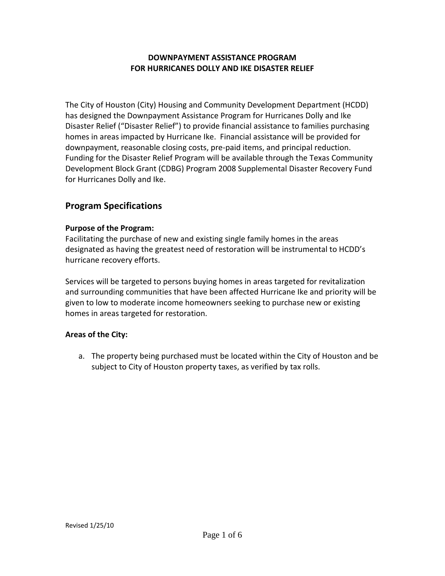# **DOWNPAYMENT ASSISTANCE PROGRAM FOR HURRICANES DOLLY AND IKE DISASTER RELIEF**

The City of Houston (City) Housing and Community Development Department (HCDD) has designed the Downpayment Assistance Program for Hurricanes Dolly and Ike Disaster Relief ("Disaster Relief") to provide financial assistance to families purchasing homes in areas impacted by Hurricane Ike. Financial assistance will be provided for downpayment, reasonable closing costs, pre‐paid items, and principal reduction. Funding for the Disaster Relief Program will be available through the Texas Community Development Block Grant (CDBG) Program 2008 Supplemental Disaster Recovery Fund for Hurricanes Dolly and Ike.

# **Program Specifications**

#### **Purpose of the Program:**

Facilitating the purchase of new and existing single family homes in the areas designated as having the greatest need of restoration will be instrumental to HCDD's hurricane recovery efforts.

Services will be targeted to persons buying homes in areas targeted for revitalization and surrounding communities that have been affected Hurricane Ike and priority will be given to low to moderate income homeowners seeking to purchase new or existing homes in areas targeted for restoration.

# **Areas of the City:**

a. The property being purchased must be located within the City of Houston and be subject to City of Houston property taxes, as verified by tax rolls.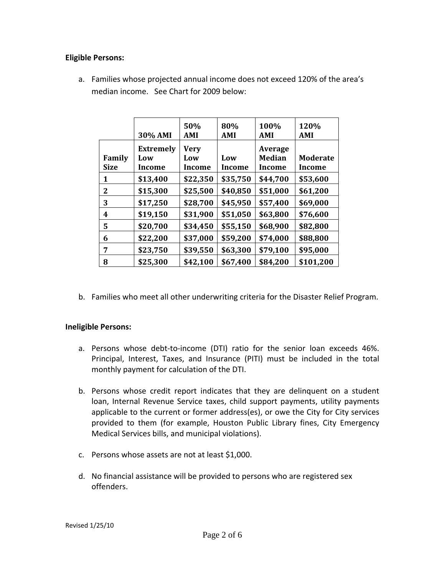### **Eligible Persons:**

a. Families whose projected annual income does not exceed 120% of the area's median income. See Chart for 2009 below:

|                       | 30% AMI                                  | 50%<br>AMI                   | 80%<br>AMI    | 100%<br>AMI                               | 120%<br><b>AMI</b>               |
|-----------------------|------------------------------------------|------------------------------|---------------|-------------------------------------------|----------------------------------|
| Family<br><b>Size</b> | <b>Extremely</b><br>Low<br><b>Income</b> | <b>Very</b><br>Low<br>Income | Low<br>Income | Average<br><b>Median</b><br><b>Income</b> | <b>Moderate</b><br><b>Income</b> |
| 1                     | \$13,400                                 | \$22,350                     | \$35,750      | \$44,700                                  | \$53,600                         |
| 2                     | \$15,300                                 | \$25,500                     | \$40,850      | \$51,000                                  | \$61,200                         |
| 3                     | \$17,250                                 | \$28,700                     | \$45,950      | \$57,400                                  | \$69,000                         |
| 4                     | \$19,150                                 | \$31,900                     | \$51,050      | \$63,800                                  | \$76,600                         |
| 5.                    | \$20,700                                 | \$34,450                     | \$55,150      | \$68,900                                  | \$82,800                         |
| 6                     | \$22,200                                 | \$37,000                     | \$59,200      | \$74,000                                  | \$88,800                         |
| 7                     | \$23,750                                 | \$39,550                     | \$63,300      | \$79,100                                  | \$95,000                         |
| 8                     | \$25,300                                 | \$42,100                     | \$67,400      | \$84,200                                  | \$101,200                        |

b. Families who meet all other underwriting criteria for the Disaster Relief Program.

#### **Ineligible Persons:**

- a. Persons whose debt-to-income (DTI) ratio for the senior loan exceeds 46%. Principal, Interest, Taxes, and Insurance (PITI) must be included in the total monthly payment for calculation of the DTI.
- b. Persons whose credit report indicates that they are delinquent on a student loan, Internal Revenue Service taxes, child support payments, utility payments applicable to the current or former address(es), or owe the City for City services provided to them (for example, Houston Public Library fines, City Emergency Medical Services bills, and municipal violations).
- c. Persons whose assets are not at least \$1,000.
- d. No financial assistance will be provided to persons who are registered sex offenders.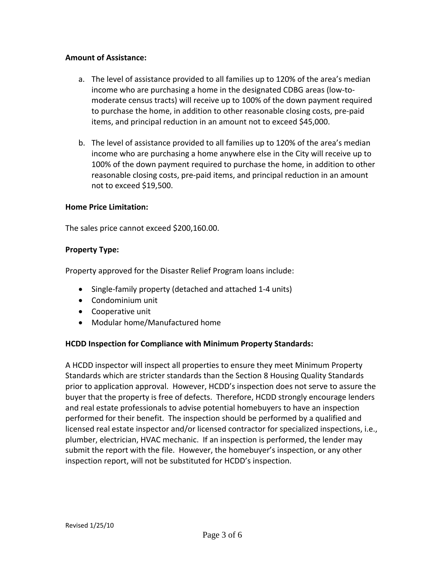### **Amount of Assistance:**

- a. The level of assistance provided to all families up to 120% of the area's median income who are purchasing a home in the designated CDBG areas (low‐to‐ moderate census tracts) will receive up to 100% of the down payment required to purchase the home, in addition to other reasonable closing costs, pre‐paid items, and principal reduction in an amount not to exceed \$45,000.
- b. The level of assistance provided to all families up to 120% of the area's median income who are purchasing a home anywhere else in the City will receive up to 100% of the down payment required to purchase the home, in addition to other reasonable closing costs, pre‐paid items, and principal reduction in an amount not to exceed \$19,500.

#### **Home Price Limitation:**

The sales price cannot exceed \$200,160.00.

#### **Property Type:**

Property approved for the Disaster Relief Program loans include:

- Single-family property (detached and attached 1-4 units)
- Condominium unit
- Cooperative unit
- Modular home/Manufactured home

#### **HCDD Inspection for Compliance with Minimum Property Standards:**

A HCDD inspector will inspect all properties to ensure they meet Minimum Property Standards which are stricter standards than the Section 8 Housing Quality Standards prior to application approval. However, HCDD's inspection does not serve to assure the buyer that the property is free of defects. Therefore, HCDD strongly encourage lenders and real estate professionals to advise potential homebuyers to have an inspection performed for their benefit. The inspection should be performed by a qualified and licensed real estate inspector and/or licensed contractor for specialized inspections, i.e., plumber, electrician, HVAC mechanic. If an inspection is performed, the lender may submit the report with the file. However, the homebuyer's inspection, or any other inspection report, will not be substituted for HCDD's inspection.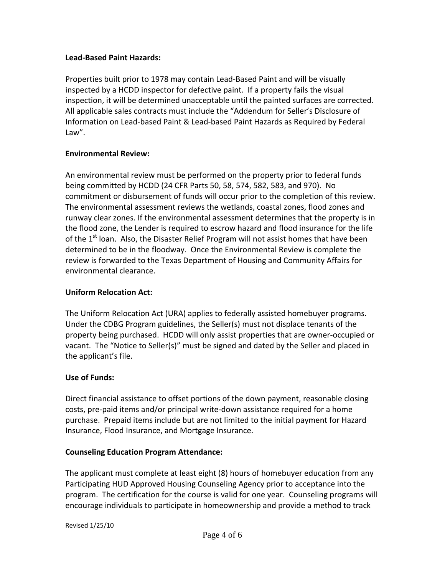### **Lead‐Based Paint Hazards:**

Properties built prior to 1978 may contain Lead‐Based Paint and will be visually inspected by a HCDD inspector for defective paint. If a property fails the visual inspection, it will be determined unacceptable until the painted surfaces are corrected. All applicable sales contracts must include the "Addendum for Seller's Disclosure of Information on Lead‐based Paint & Lead‐based Paint Hazards as Required by Federal Law".

#### **Environmental Review:**

An environmental review must be performed on the property prior to federal funds being committed by HCDD (24 CFR Parts 50, 58, 574, 582, 583, and 970). No commitment or disbursement of funds will occur prior to the completion of this review. The environmental assessment reviews the wetlands, coastal zones, flood zones and runway clear zones. If the environmental assessment determines that the property is in the flood zone, the Lender is required to escrow hazard and flood insurance for the life of the 1<sup>st</sup> loan. Also, the Disaster Relief Program will not assist homes that have been determined to be in the floodway. Once the Environmental Review is complete the review is forwarded to the Texas Department of Housing and Community Affairs for environmental clearance.

# **Uniform Relocation Act:**

The Uniform Relocation Act (URA) applies to federally assisted homebuyer programs. Under the CDBG Program guidelines, the Seller(s) must not displace tenants of the property being purchased. HCDD will only assist properties that are owner‐occupied or vacant. The "Notice to Seller(s)" must be signed and dated by the Seller and placed in the applicant's file.

#### **Use of Funds:**

Direct financial assistance to offset portions of the down payment, reasonable closing costs, pre‐paid items and/or principal write‐down assistance required for a home purchase. Prepaid items include but are not limited to the initial payment for Hazard Insurance, Flood Insurance, and Mortgage Insurance.

# **Counseling Education Program Attendance:**

The applicant must complete at least eight (8) hours of homebuyer education from any Participating HUD Approved Housing Counseling Agency prior to acceptance into the program. The certification for the course is valid for one year. Counseling programs will encourage individuals to participate in homeownership and provide a method to track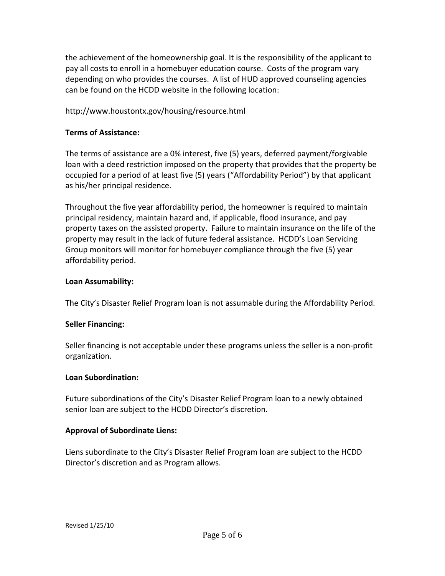the achievement of the homeownership goal. It is the responsibility of the applicant to pay all costs to enroll in a homebuyer education course. Costs of the program vary depending on who provides the courses. A list of HUD approved counseling agencies can be found on the HCDD website in the following location:

# http://www.houstontx.gov/housing/resource.html

# **Terms of Assistance:**

The terms of assistance are a 0% interest, five (5) years, deferred payment/forgivable loan with a deed restriction imposed on the property that provides that the property be occupied for a period of at least five (5) years ("Affordability Period") by that applicant as his/her principal residence.

Throughout the five year affordability period, the homeowner is required to maintain principal residency, maintain hazard and, if applicable, flood insurance, and pay property taxes on the assisted property. Failure to maintain insurance on the life of the property may result in the lack of future federal assistance. HCDD's Loan Servicing Group monitors will monitor for homebuyer compliance through the five (5) year affordability period.

# **Loan Assumability:**

The City's Disaster Relief Program loan is not assumable during the Affordability Period.

# **Seller Financing:**

Seller financing is not acceptable under these programs unless the seller is a non‐profit organization.

#### **Loan Subordination:**

Future subordinations of the City's Disaster Relief Program loan to a newly obtained senior loan are subject to the HCDD Director's discretion.

# **Approval of Subordinate Liens:**

Liens subordinate to the City's Disaster Relief Program loan are subject to the HCDD Director's discretion and as Program allows.